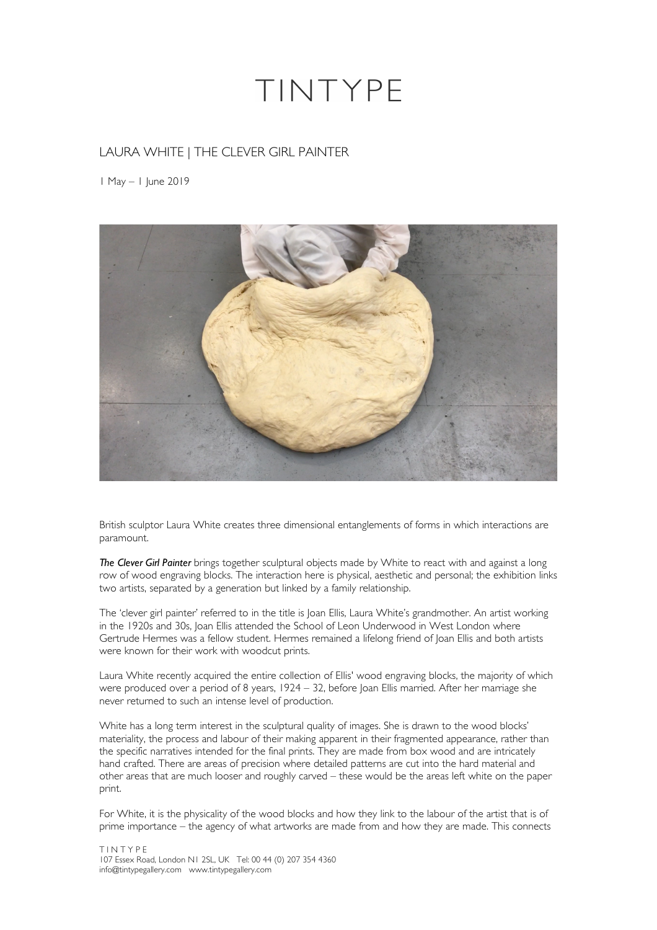## TINTYPE

## LAURA WHITE | THE CLEVER GIRL PAINTER

1 May – 1 June 2019



British sculptor Laura White creates three dimensional entanglements of forms in which interactions are paramount.

*The Clever Girl Painter* brings together sculptural objects made by White to react with and against a long row of wood engraving blocks. The interaction here is physical, aesthetic and personal; the exhibition links two artists, separated by a generation but linked by a family relationship.

The 'clever girl painter' referred to in the title is Joan Ellis, Laura White's grandmother. An artist working in the 1920s and 30s, Joan Ellis attended the School of Leon Underwood in West London where Gertrude Hermes was a fellow student. Hermes remained a lifelong friend of Joan Ellis and both artists were known for their work with woodcut prints.

Laura White recently acquired the entire collection of Ellis' wood engraving blocks, the majority of which were produced over a period of 8 years, 1924 – 32, before Joan Ellis married. After her marriage she never returned to such an intense level of production.

White has a long term interest in the sculptural quality of images. She is drawn to the wood blocks' materiality, the process and labour of their making apparent in their fragmented appearance, rather than the specific narratives intended for the final prints. They are made from box wood and are intricately hand crafted. There are areas of precision where detailed patterns are cut into the hard material and other areas that are much looser and roughly carved – these would be the areas left white on the paper print.

For White, it is the physicality of the wood blocks and how they link to the labour of the artist that is of prime importance – the agency of what artworks are made from and how they are made. This connects